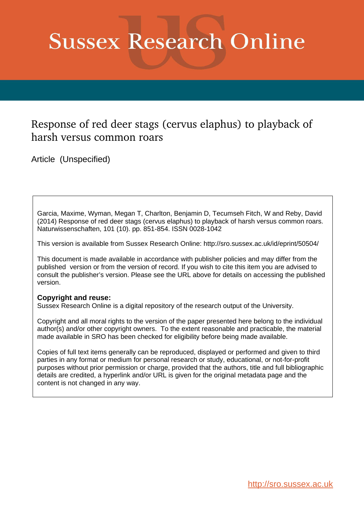## **Sussex Research Online**

## Response of red deer stags (cervus elaphus) to playback of harsh versus common roars

Article (Unspecified)

Garcia, Maxime, Wyman, Megan T, Charlton, Benjamin D, Tecumseh Fitch, W and Reby, David (2014) Response of red deer stags (cervus elaphus) to playback of harsh versus common roars. Naturwissenschaften, 101 (10). pp. 851-854. ISSN 0028-1042

This version is available from Sussex Research Online: http://sro.sussex.ac.uk/id/eprint/50504/

This document is made available in accordance with publisher policies and may differ from the published version or from the version of record. If you wish to cite this item you are advised to consult the publisher's version. Please see the URL above for details on accessing the published version.

## **Copyright and reuse:**

Sussex Research Online is a digital repository of the research output of the University.

Copyright and all moral rights to the version of the paper presented here belong to the individual author(s) and/or other copyright owners. To the extent reasonable and practicable, the material made available in SRO has been checked for eligibility before being made available.

Copies of full text items generally can be reproduced, displayed or performed and given to third parties in any format or medium for personal research or study, educational, or not-for-profit purposes without prior permission or charge, provided that the authors, title and full bibliographic details are credited, a hyperlink and/or URL is given for the original metadata page and the content is not changed in any way.